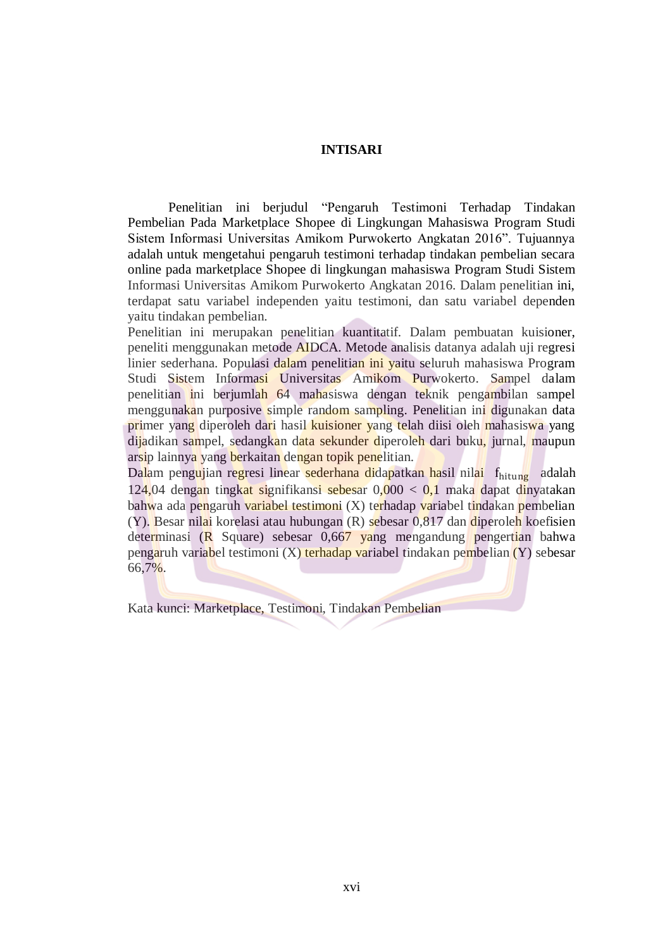## **INTISARI**

Penelitian ini berjudul "Pengaruh Testimoni Terhadap Tindakan Pembelian Pada Marketplace Shopee di Lingkungan Mahasiswa Program Studi Sistem Informasi Universitas Amikom Purwokerto Angkatan 2016". Tujuannya adalah untuk mengetahui pengaruh testimoni terhadap tindakan pembelian secara online pada marketplace Shopee di lingkungan mahasiswa Program Studi Sistem Informasi Universitas Amikom Purwokerto Angkatan 2016. Dalam penelitian ini, terdapat satu variabel independen yaitu testimoni, dan satu variabel dependen yaitu tindakan pembelian.

Penelitian ini merupakan penelitian kuantitatif. Dalam pembuatan kuisioner, peneliti menggunakan metode AIDCA. Metode analisis datanya adalah uji regresi linier sederhana. Populasi dalam penelitian ini yaitu seluruh mahasiswa Program Studi Sistem Informasi Universitas Amikom Purwokerto. Sampel dalam penelitian ini berjumlah 64 mahasiswa dengan teknik pengambilan sampel menggunakan purposive simple random sampling. Penelitian ini digunakan data primer yang diperoleh dari hasil kuisioner yang telah diisi oleh mahasiswa yang dijadikan sampel, sedangkan data sekunder diperoleh dari buku, jurnal, maupun arsip lainnya yang berkaitan dengan topik penelitian.

Dalam pengujian regresi linear sederhana didapatkan hasil nilai f<sub>hitung</sub> adalah 124,04 dengan tingkat signifikansi sebesar 0,000 < 0,1 maka dapat dinyatakan bahwa ada pengaruh variabel testimoni (X) terhadap variabel tindakan pembelian  $(Y)$ . Besar nilai korelasi atau hubungan  $(R)$  sebesar 0,817 dan diperoleh koefisien determinasi (R Square) sebesar 0,667 yang mengandung pengertian bahwa pengaruh variabel testimoni (X) terhadap variabel tindakan pembelian (Y) sebesar 66,7%.

Kata kunci: Marketplace, Testimoni, Tindakan Pembelian